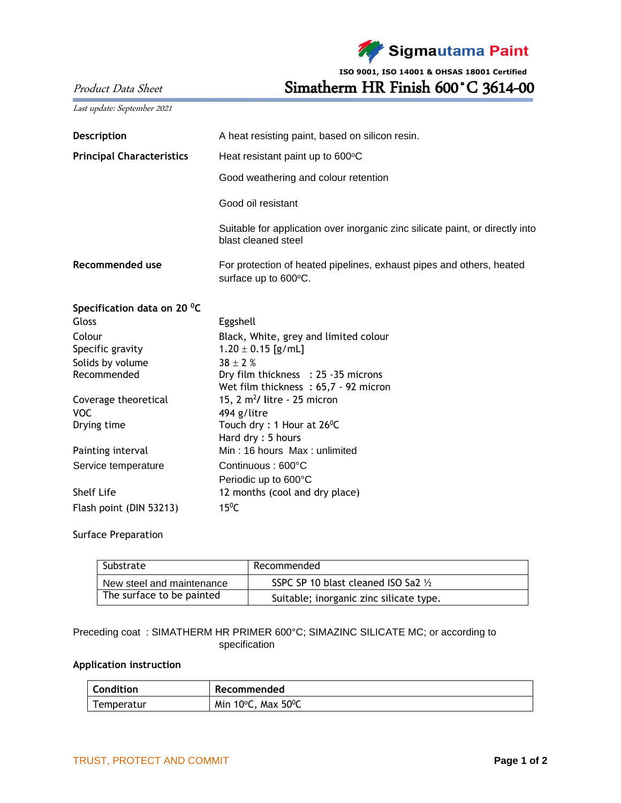

**ISO 9001, ISO 14001 & OHSAS 18001 Certified**

Product Data Sheet Simatherm HR Finish 600°C 3614-00

|  |  | Last update: September 2021 |  |
|--|--|-----------------------------|--|
|--|--|-----------------------------|--|

| Description                      | A heat resisting paint, based on silicon resin.                                                      |  |  |  |
|----------------------------------|------------------------------------------------------------------------------------------------------|--|--|--|
| <b>Principal Characteristics</b> | Heat resistant paint up to 600°C                                                                     |  |  |  |
|                                  | Good weathering and colour retention                                                                 |  |  |  |
|                                  | Good oil resistant                                                                                   |  |  |  |
|                                  | Suitable for application over inorganic zinc silicate paint, or directly into<br>blast cleaned steel |  |  |  |
| Recommended use                  | For protection of heated pipelines, exhaust pipes and others, heated<br>surface up to 600°C.         |  |  |  |
| Specification data on 20 °C      |                                                                                                      |  |  |  |
| Gloss                            | Eggshell                                                                                             |  |  |  |
| Colour                           | Black, White, grey and limited colour                                                                |  |  |  |
| Specific gravity                 | $1.20 \pm 0.15$ [g/mL]                                                                               |  |  |  |
| Solids by volume                 | $38 \pm 2$ %                                                                                         |  |  |  |
| Recommended                      | Dry film thickness : 25 -35 microns                                                                  |  |  |  |
|                                  | Wet film thickness: 65,7 - 92 micron                                                                 |  |  |  |
| Coverage theoretical             | 15, $2 \text{ m}^2$ / litre - 25 micron                                                              |  |  |  |
| <b>VOC</b>                       | 494 g/litre                                                                                          |  |  |  |
| Drying time                      | Touch dry : 1 Hour at $26^{\circ}$ C                                                                 |  |  |  |
|                                  | Hard dry: 5 hours                                                                                    |  |  |  |
| Painting interval                | Min: 16 hours Max: unlimited                                                                         |  |  |  |
| Service temperature              | Continuous: 600°C                                                                                    |  |  |  |
|                                  | Periodic up to 600°C                                                                                 |  |  |  |
| Shelf Life                       | 12 months (cool and dry place)                                                                       |  |  |  |
| Flash point (DIN 53213)          | $15^{\circ}$ C                                                                                       |  |  |  |

## Surface Preparation

| Substrate                 | Recommended                             |  |
|---------------------------|-----------------------------------------|--|
| New steel and maintenance | SSPC SP 10 blast cleaned ISO Sa2 1/2    |  |
| The surface to be painted | Suitable; inorganic zinc silicate type. |  |

## Preceding coat : SIMATHERM HR PRIMER 600°C; SIMAZINC SILICATE MC; or according to specification

## **Application instruction**

| <b>Condition</b> | Recommended                            |
|------------------|----------------------------------------|
| Temperatur       | Min 10 $\degree$ C, Max 50 $\degree$ C |